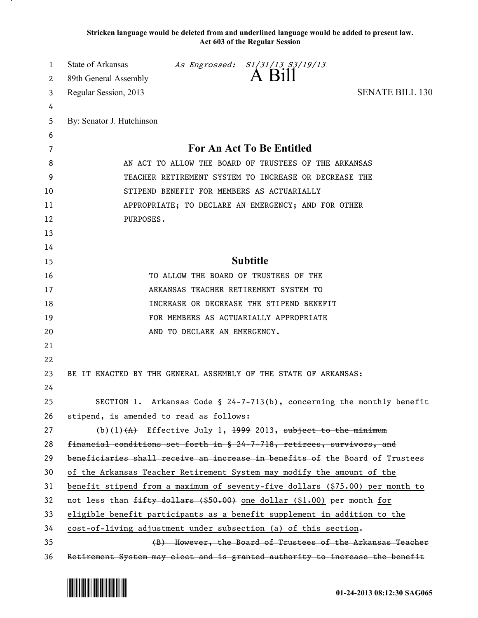**Stricken language would be deleted from and underlined language would be added to present law. Act 603 of the Regular Session**

| 1  | State of Arkansas                                                        |                              | As Engrossed: S1/31/13 S3/19/13                                  |                                                                               |  |
|----|--------------------------------------------------------------------------|------------------------------|------------------------------------------------------------------|-------------------------------------------------------------------------------|--|
| 2  | 89th General Assembly                                                    |                              | A Bill                                                           |                                                                               |  |
| 3  | Regular Session, 2013                                                    |                              |                                                                  | <b>SENATE BILL 130</b>                                                        |  |
| 4  |                                                                          |                              |                                                                  |                                                                               |  |
| 5  | By: Senator J. Hutchinson                                                |                              |                                                                  |                                                                               |  |
| 6  |                                                                          |                              |                                                                  |                                                                               |  |
| 7  | For An Act To Be Entitled                                                |                              |                                                                  |                                                                               |  |
| 8  | AN ACT TO ALLOW THE BOARD OF TRUSTEES OF THE ARKANSAS                    |                              |                                                                  |                                                                               |  |
| 9  | TEACHER RETIREMENT SYSTEM TO INCREASE OR DECREASE THE                    |                              |                                                                  |                                                                               |  |
| 10 |                                                                          |                              | STIPEND BENEFIT FOR MEMBERS AS ACTUARIALLY                       |                                                                               |  |
| 11 |                                                                          |                              | APPROPRIATE; TO DECLARE AN EMERGENCY; AND FOR OTHER              |                                                                               |  |
| 12 | PURPOSES.                                                                |                              |                                                                  |                                                                               |  |
| 13 |                                                                          |                              |                                                                  |                                                                               |  |
| 14 |                                                                          |                              |                                                                  |                                                                               |  |
| 15 |                                                                          |                              | <b>Subtitle</b>                                                  |                                                                               |  |
| 16 |                                                                          |                              | TO ALLOW THE BOARD OF TRUSTEES OF THE                            |                                                                               |  |
| 17 |                                                                          |                              | ARKANSAS TEACHER RETIREMENT SYSTEM TO                            |                                                                               |  |
| 18 |                                                                          |                              | INCREASE OR DECREASE THE STIPEND BENEFIT                         |                                                                               |  |
| 19 |                                                                          |                              | FOR MEMBERS AS ACTUARIALLY APPROPRIATE                           |                                                                               |  |
| 20 |                                                                          | AND TO DECLARE AN EMERGENCY. |                                                                  |                                                                               |  |
| 21 |                                                                          |                              |                                                                  |                                                                               |  |
| 22 |                                                                          |                              |                                                                  |                                                                               |  |
| 23 | BE IT ENACTED BY THE GENERAL ASSEMBLY OF THE STATE OF ARKANSAS:          |                              |                                                                  |                                                                               |  |
| 24 |                                                                          |                              |                                                                  |                                                                               |  |
| 25 |                                                                          |                              |                                                                  | SECTION 1. Arkansas Code § 24-7-713(b), concerning the monthly benefit        |  |
| 26 | stipend, is amended to read as follows:                                  |                              |                                                                  |                                                                               |  |
| 27 |                                                                          |                              | (b)(1) $(A)$ Effective July 1, 1999 2013, subject to the minimum |                                                                               |  |
| 28 | financial conditions set forth in § 24-7-718, retirees, survivors, and   |                              |                                                                  |                                                                               |  |
| 29 |                                                                          |                              |                                                                  | beneficiaries shall receive an increase in benefits of the Board of Trustees  |  |
| 30 | of the Arkansas Teacher Retirement System may modify the amount of the   |                              |                                                                  |                                                                               |  |
| 31 |                                                                          |                              |                                                                  | benefit stipend from a maximum of seventy-five dollars (\$75.00) per month to |  |
| 32 | not less than fifty dollars (\$50.00) one dollar (\$1.00) per month for  |                              |                                                                  |                                                                               |  |
| 33 | eligible benefit participants as a benefit supplement in addition to the |                              |                                                                  |                                                                               |  |
| 34 | cost-of-living adjustment under subsection (a) of this section.          |                              |                                                                  |                                                                               |  |
| 35 |                                                                          |                              |                                                                  | (B) However, the Board of Trustees of the Arkansas Teacher                    |  |
| 36 |                                                                          |                              |                                                                  | Retirement System may elect and is granted authority to increase the benefit  |  |

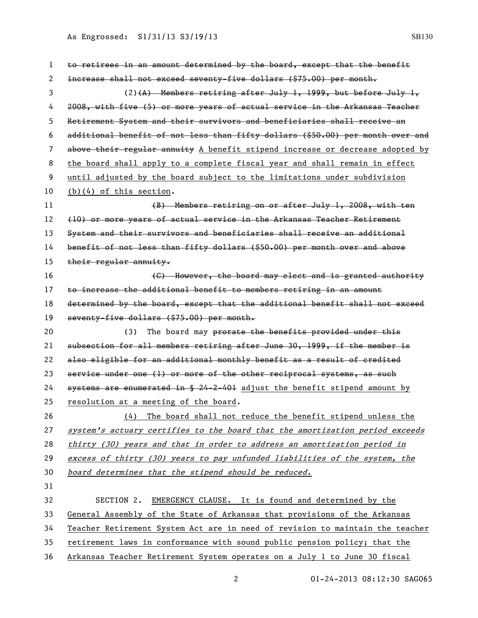As Engrossed: S1/31/13 S3/19/13 SB130

| 1  | to retirees in an amount determined by the board, except that the benefit      |  |  |
|----|--------------------------------------------------------------------------------|--|--|
| 2  | increase shall not exceed seventy-five dollars (\$75.00) per month.            |  |  |
| 3  | $(2)$ (A) Members retiring after July 1, 1999, but before July 1,              |  |  |
| 4  | 2008, with five (5) or more years of actual service in the Arkansas Teacher    |  |  |
| 5  | Retirement System and their survivors and beneficiaries shall receive an       |  |  |
| 6  | additional benefit of not less than fifty dollars (\$50.00) per month over and |  |  |
| 7  | above their regular annuity A benefit stipend increase or decrease adopted by  |  |  |
| 8  | the board shall apply to a complete fiscal year and shall remain in effect     |  |  |
| 9  | until adjusted by the board subject to the limitations under subdivision       |  |  |
| 10 | $(b)(4)$ of this section.                                                      |  |  |
| 11 | (B) Members retiring on or after July 1, 2008, with ten                        |  |  |
| 12 | (10) or more years of actual service in the Arkansas Teacher Retirement        |  |  |
| 13 | System and their survivors and beneficiaries shall receive an additional       |  |  |
| 14 | benefit of not less than fifty dollars (\$50.00) per month over and above      |  |  |
| 15 | their regular annuity.                                                         |  |  |
| 16 | (C) However, the board may elect and is granted authority                      |  |  |
| 17 | to increase the additional benefit to members retiring in an amount            |  |  |
| 18 | determined by the board, except that the additional benefit shall not exceed   |  |  |
| 19 | seventy-five dollars (\$75.00) per month.                                      |  |  |
| 20 | The board may prorate the benefits provided under this<br>(3)                  |  |  |
| 21 | subsection for all members retiring after June 30, 1999, if the member is      |  |  |
| 22 | also eligible for an additional monthly benefit as a result of credited        |  |  |
| 23 | service under one (1) or more of the other reciprocal systems, as such         |  |  |
| 24 | systems are enumerated in § 24-2-401 adjust the benefit stipend amount by      |  |  |
| 25 | resolution at a meeting of the board.                                          |  |  |
| 26 | The board shall not reduce the benefit stipend unless the<br>(4)               |  |  |
| 27 | system's actuary certifies to the board that the amortization period exceeds   |  |  |
| 28 | thirty (30) years and that in order to address an amortization period in       |  |  |
| 29 | excess of thirty (30) years to pay unfunded liabilities of the system, the     |  |  |
| 30 | board determines that the stipend should be reduced.                           |  |  |
| 31 |                                                                                |  |  |
| 32 | EMERGENCY CLAUSE. It is found and determined by the<br>SECTION 2.              |  |  |
| 33 | General Assembly of the State of Arkansas that provisions of the Arkansas      |  |  |
| 34 | Teacher Retirement System Act are in need of revision to maintain the teacher  |  |  |
| 35 | retirement laws in conformance with sound public pension policy; that the      |  |  |
| 36 | Arkansas Teacher Retirement System operates on a July 1 to June 30 fiscal      |  |  |

01-24-2013 08:12:30 SAG065